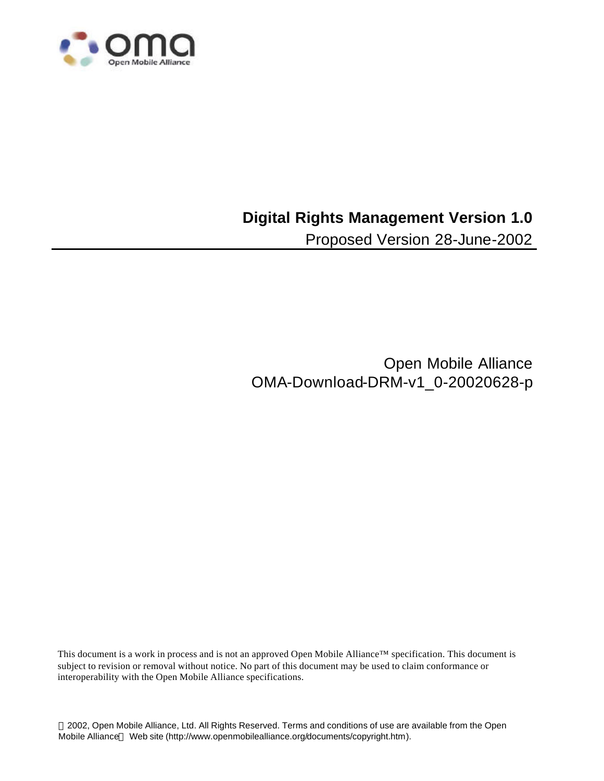

## **Digital Rights Management Version 1.0**

Proposed Version 28-June-2002

Open Mobile Alliance OMA-Download-DRM-v1\_0-20020628-p

This document is a work in process and is not an approved Open Mobile Alliance™ specification. This document is subject to revision or removal without notice. No part of this document may be used to claim conformance or interoperability with the Open Mobile Alliance specifications.

 2002, Open Mobile Alliance, Ltd. All Rights Reserved. Terms and conditions of use are available from the Open Mobile Alliance™ Web site (http://www.openmobilealliance.org/documents/copyright.htm).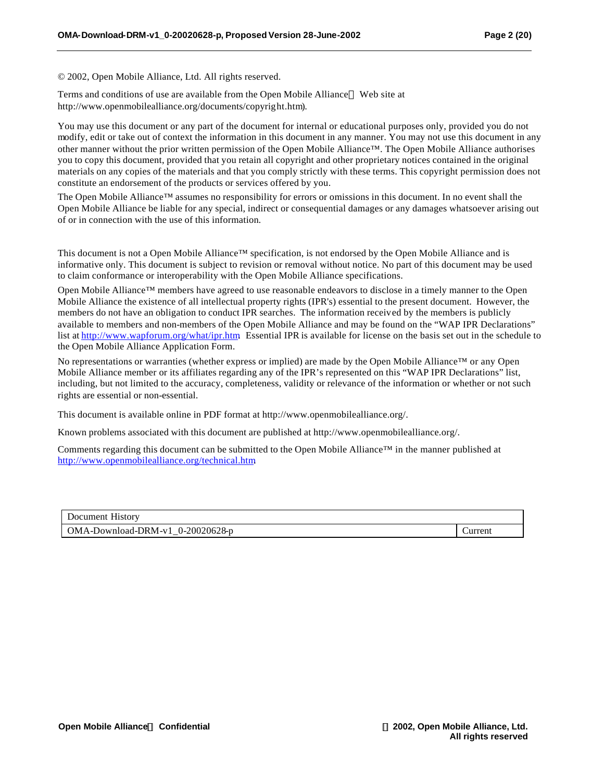© 2002, Open Mobile Alliance, Ltd. All rights reserved.

Terms and conditions of use are available from the Open Mobile Alliance™ Web site at http://www.openmobilealliance.org/documents/copyright.htm).

You may use this document or any part of the document for internal or educational purposes only, provided you do not modify, edit or take out of context the information in this document in any manner. You may not use this document in any other manner without the prior written permission of the Open Mobile Alliance™. The Open Mobile Alliance authorises you to copy this document, provided that you retain all copyright and other proprietary notices contained in the original materials on any copies of the materials and that you comply strictly with these terms. This copyright permission does not constitute an endorsement of the products or services offered by you.

The Open Mobile Alliance™ assumes no responsibility for errors or omissions in this document. In no event shall the Open Mobile Alliance be liable for any special, indirect or consequential damages or any damages whatsoever arising out of or in connection with the use of this information*.*

This document is not a Open Mobile Alliance™ specification, is not endorsed by the Open Mobile Alliance and is informative only. This document is subject to revision or removal without notice. No part of this document may be used to claim conformance or interoperability with the Open Mobile Alliance specifications.

Open Mobile Alliance™ members have agreed to use reasonable endeavors to disclose in a timely manner to the Open Mobile Alliance the existence of all intellectual property rights (IPR's) essential to the present document. However, the members do not have an obligation to conduct IPR searches. The information received by the members is publicly available to members and non-members of the Open Mobile Alliance and may be found on the "WAP IPR Declarations" list at http://www.wapforum.org/what/ipr.htm Essential IPR is available for license on the basis set out in the schedule to the Open Mobile Alliance Application Form.

No representations or warranties (whether express or implied) are made by the Open Mobile Alliance™ or any Open Mobile Alliance member or its affiliates regarding any of the IPR's represented on this "WAP IPR Declarations" list, including, but not limited to the accuracy, completeness, validity or relevance of the information or whether or not such rights are essential or non-essential.

This document is available online in PDF format at http://www.openmobilealliance.org/.

Known problems associated with this document are published at http://www.openmobilealliance.org/.

Comments regarding this document can be submitted to the Open Mobile Alliance™ in the manner published at http://www.openmobilealliance.org/technical.htm.

| Document History                                                    |         |
|---------------------------------------------------------------------|---------|
| $\mid$ OMA-Download-DRM-v1 0-20020628-p<br>$\overline{\phantom{a}}$ | Jurrent |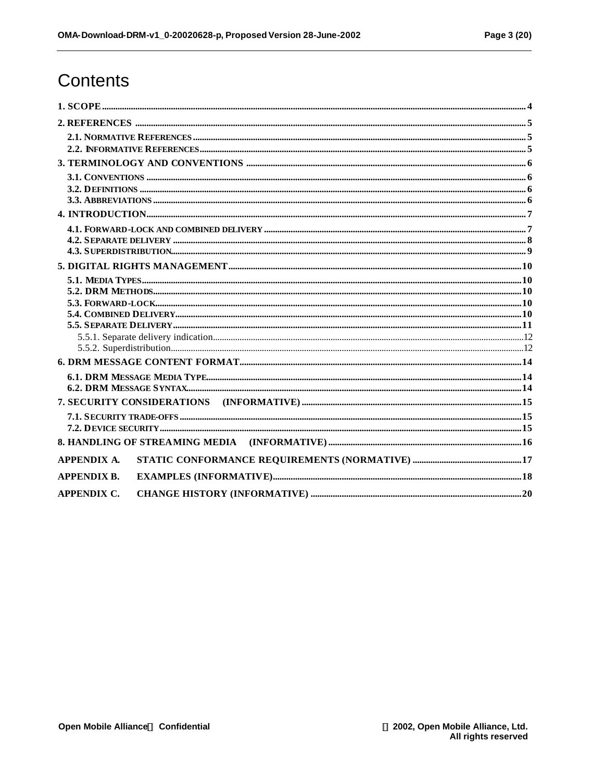# **Contents**

| <b>APPENDIX A.</b> |
|--------------------|
| <b>APPENDIX B.</b> |
| <b>APPENDIX C.</b> |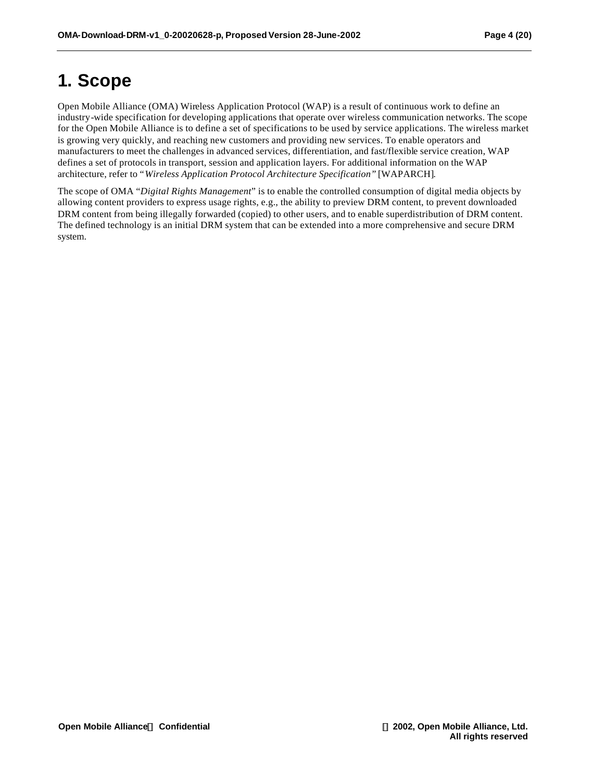# **1. Scope**

Open Mobile Alliance (OMA) Wireless Application Protocol (WAP) is a result of continuous work to define an industry-wide specification for developing applications that operate over wireless communication networks. The scope for the Open Mobile Alliance is to define a set of specifications to be used by service applications. The wireless market is growing very quickly, and reaching new customers and providing new services. To enable operators and manufacturers to meet the challenges in advanced services, differentiation, and fast/flexible service creation, WAP defines a set of protocols in transport, session and application layers. For additional information on the WAP architecture, refer to "*Wireless Application Protocol Architecture Specification"* [WAPARCH].

The scope of OMA "*Digital Rights Management*" is to enable the controlled consumption of digital media objects by allowing content providers to express usage rights, e.g., the ability to preview DRM content, to prevent downloaded DRM content from being illegally forwarded (copied) to other users, and to enable superdistribution of DRM content. The defined technology is an initial DRM system that can be extended into a more comprehensive and secure DRM system.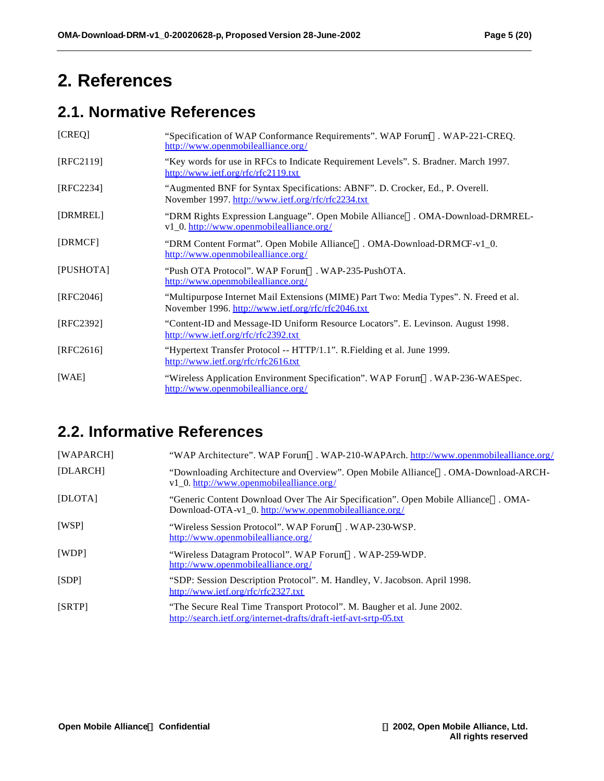# **2. References**

## **2.1. Normative References**

| [CREQ]    | "Specification of WAP Conformance Requirements". WAP Forum™. WAP-221-CREQ.<br>http://www.openmobilealliance.org/                            |
|-----------|---------------------------------------------------------------------------------------------------------------------------------------------|
| [RFC2119] | "Key words for use in RFCs to Indicate Requirement Levels". S. Bradner. March 1997.<br>http://www.ietf.org/rfc/rfc2119.txt                  |
| [RFC2234] | "Augmented BNF for Syntax Specifications: ABNF". D. Crocker, Ed., P. Overell.<br>November 1997. http://www.ietf.org/rfc/rfc2234.txt         |
| [DRMREL]  | "DRM Rights Expression Language". Open Mobile Alliance <sup>TM</sup> . OMA-Download-DRMREL-<br>v1_0. http://www.openmobilealliance.org/     |
| [DRMCF]   | "DRM Content Format". Open Mobile Alliance™. OMA-Download-DRMCF-v1_0.<br>http://www.openmobilealliance.org/                                 |
| [PUSHOTA] | "Push OTA Protocol". WAP Forum <sup>™</sup> . WAP-235-PushOTA.<br>http://www.openmobilealliance.org/                                        |
| [RFC2046] | "Multipurpose Internet Mail Extensions (MIME) Part Two: Media Types". N. Freed et al.<br>November 1996. http://www.ietf.org/rfc/rfc2046.txt |
| [RFC2392] | "Content-ID and Message-ID Uniform Resource Locators". E. Levinson. August 1998.<br>http://www.ietf.org/rfc/rfc2392.txt                     |
| [RFC2616] | "Hypertext Transfer Protocol -- HTTP/1.1". R. Fielding et al. June 1999.<br>http://www.ietf.org/rfc/rfc2616.txt                             |
| [WAE]     | "Wireless Application Environment Specification". WAP Forum <sup>TM</sup> . WAP-236-WAESpec.<br>http://www.openmobilealliance.org/          |

## **2.2. Informative References**

| [WAPARCH] | "WAP Architecture". WAP Forum <sup>M</sup> . WAP-210-WAPArch. http://www.openmobilealliance.org/                                                          |
|-----------|-----------------------------------------------------------------------------------------------------------------------------------------------------------|
| [DLARCH]  | "Downloading Architecture and Overview". Open Mobile Alliance™. OMA-Download-ARCH-<br>v1_0. http://www.openmobilealliance.org/                            |
| [DLOTA]   | "Generic Content Download Over The Air Specification". Open Mobile Alliance <sup>TM</sup> . OMA-<br>Download-OTA-v1_0. http://www.openmobilealliance.org/ |
| [WSP]     | "Wireless Session Protocol". WAP Forum <sup>TM</sup> , WAP-230-WSP.<br>http://www.openmobilealliance.org/                                                 |
| [WDP]     | "Wireless Datagram Protocol". WAP Forum <sup>TM</sup> . WAP-259-WDP.<br>http://www.openmobilealliance.org/                                                |
| [SDP]     | "SDP: Session Description Protocol". M. Handley, V. Jacobson. April 1998.<br>http://www.ietf.org/rfc/rfc2327.txt                                          |
| [SRTP]    | "The Secure Real Time Transport Protocol". M. Baugher et al. June 2002.<br>http://search.ietf.org/internet-drafts/draft-ietf-avt-srtp-05.txt              |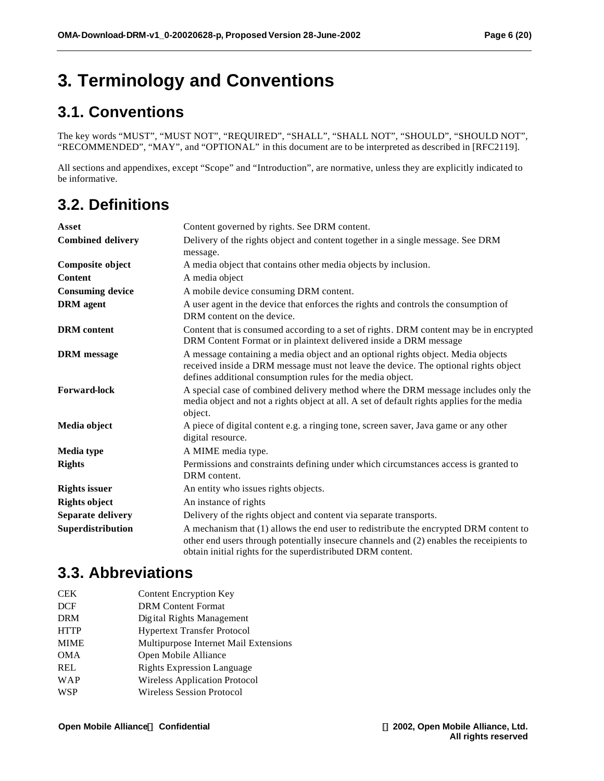# **3. Terminology and Conventions**

## **3.1. Conventions**

The key words "MUST", "MUST NOT", "REQUIRED", "SHALL", "SHALL NOT", "SHOULD", "SHOULD NOT", "RECOMMENDED", "MAY", and "OPTIONAL" in this document are to be interpreted as described in [RFC2119].

All sections and appendixes, except "Scope" and "Introduction", are normative, unless they are explicitly indicated to be informative.

## **3.2. Definitions**

| Asset                    | Content governed by rights. See DRM content.                                                                                                                                                                                                     |  |  |  |
|--------------------------|--------------------------------------------------------------------------------------------------------------------------------------------------------------------------------------------------------------------------------------------------|--|--|--|
| <b>Combined delivery</b> | Delivery of the rights object and content together in a single message. See DRM<br>message.                                                                                                                                                      |  |  |  |
| Composite object         | A media object that contains other media objects by inclusion.                                                                                                                                                                                   |  |  |  |
| <b>Content</b>           | A media object                                                                                                                                                                                                                                   |  |  |  |
| <b>Consuming device</b>  | A mobile device consuming DRM content.                                                                                                                                                                                                           |  |  |  |
| <b>DRM</b> agent         | A user agent in the device that enforces the rights and controls the consumption of<br>DRM content on the device.                                                                                                                                |  |  |  |
| <b>DRM</b> content       | Content that is consumed according to a set of rights. DRM content may be in encrypted<br>DRM Content Format or in plaintext delivered inside a DRM message                                                                                      |  |  |  |
| <b>DRM</b> message       | A message containing a media object and an optional rights object. Media objects<br>received inside a DRM message must not leave the device. The optional rights object<br>defines additional consumption rules for the media object.            |  |  |  |
| <b>Forward-lock</b>      | A special case of combined delivery method where the DRM message includes only the<br>media object and not a rights object at all. A set of default rights applies for the media<br>object.                                                      |  |  |  |
| Media object             | A piece of digital content e.g. a ringing tone, screen saver, Java game or any other<br>digital resource.                                                                                                                                        |  |  |  |
| <b>Media type</b>        | A MIME media type.                                                                                                                                                                                                                               |  |  |  |
| <b>Rights</b>            | Permissions and constraints defining under which circumstances access is granted to<br>DRM content.                                                                                                                                              |  |  |  |
| <b>Rights issuer</b>     | An entity who issues rights objects.                                                                                                                                                                                                             |  |  |  |
| <b>Rights object</b>     | An instance of rights                                                                                                                                                                                                                            |  |  |  |
| Separate delivery        | Delivery of the rights object and content via separate transports.                                                                                                                                                                               |  |  |  |
| Superdistribution        | A mechanism that (1) allows the end user to redistribute the encrypted DRM content to<br>other end users through potentially insecure channels and (2) enables the receipients to<br>obtain initial rights for the superdistributed DRM content. |  |  |  |

## **3.3. Abbreviations**

CEK Content Encryption Key DCF DRM Content Format DRM Digital Rights Management HTTP Hypertext Transfer Protocol MIME Multipurpose Internet Mail Extensions OMA Open Mobile Alliance REL Rights Expression Language WAP Wireless Application Protocol WSP Wireless Session Protocol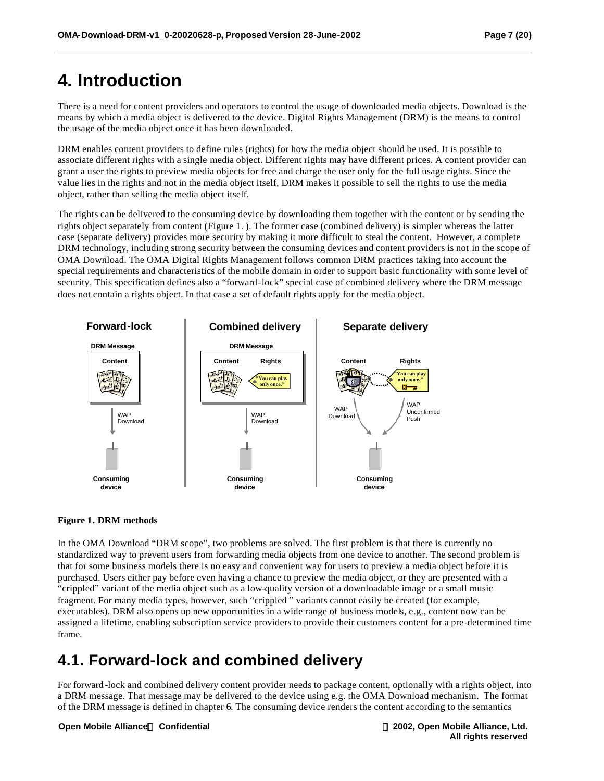## **4. Introduction**

There is a need for content providers and operators to control the usage of downloaded media objects. Download is the means by which a media object is delivered to the device. Digital Rights Management (DRM) is the means to control the usage of the media object once it has been downloaded.

DRM enables content providers to define rules (rights) for how the media object should be used. It is possible to associate different rights with a single media object. Different rights may have different prices. A content provider can grant a user the rights to preview media objects for free and charge the user only for the full usage rights. Since the value lies in the rights and not in the media object itself, DRM makes it possible to sell the rights to use the media object, rather than selling the media object itself.

The rights can be delivered to the consuming device by downloading them together with the content or by sending the rights object separately from content (Figure 1. ). The former case (combined delivery) is simpler whereas the latter case (separate delivery) provides more security by making it more difficult to steal the content. However, a complete DRM technology, including strong security between the consuming devices and content providers is not in the scope of OMA Download. The OMA Digital Rights Management follows common DRM practices taking into account the special requirements and characteristics of the mobile domain in order to support basic functionality with some level of security. This specification defines also a "forward-lock" special case of combined delivery where the DRM message does not contain a rights object. In that case a set of default rights apply for the media object.



#### **Figure 1. DRM methods**

In the OMA Download "DRM scope", two problems are solved. The first problem is that there is currently no standardized way to prevent users from forwarding media objects from one device to another. The second problem is that for some business models there is no easy and convenient way for users to preview a media object before it is purchased. Users either pay before even having a chance to preview the media object, or they are presented with a "crippled" variant of the media object such as a low-quality version of a downloadable image or a small music fragment. For many media types, however, such "crippled " variants cannot easily be created (for example, executables). DRM also opens up new opportunities in a wide range of business models, e.g., content now can be assigned a lifetime, enabling subscription service providers to provide their customers content for a pre-determined time frame.

## **4.1. Forward-lock and combined delivery**

For forward -lock and combined delivery content provider needs to package content, optionally with a rights object, into a DRM message. That message may be delivered to the device using e.g. the OMA Download mechanism. The format of the DRM message is defined in chapter 6. The consuming device renders the content according to the semantics

**Open Mobile AllianceÔ Confidential Ó 2002, Open Mobile Alliance, Ltd.**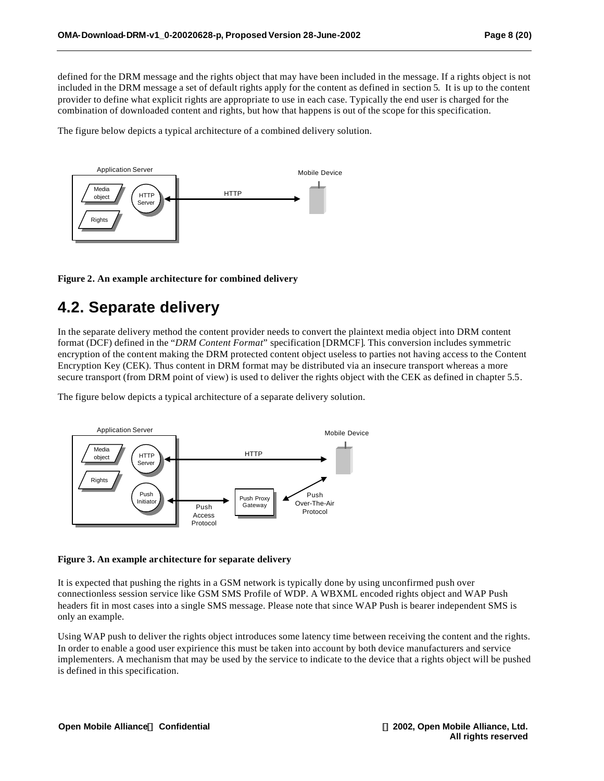defined for the DRM message and the rights object that may have been included in the message. If a rights object is not included in the DRM message a set of default rights apply for the content as defined in section 5. It is up to the content provider to define what explicit rights are appropriate to use in each case. Typically the end user is charged for the combination of downloaded content and rights, but how that happens is out of the scope for this specification.

The figure below depicts a typical architecture of a combined delivery solution.



#### **Figure 2. An example architecture for combined delivery**

## **4.2. Separate delivery**

In the separate delivery method the content provider needs to convert the plaintext media object into DRM content format (DCF) defined in the "*DRM Content Format*" specification [DRMCF]. This conversion includes symmetric encryption of the content making the DRM protected content object useless to parties not having access to the Content Encryption Key (CEK). Thus content in DRM format may be distributed via an insecure transport whereas a more secure transport (from DRM point of view) is used to deliver the rights object with the CEK as defined in chapter 5.5.

The figure below depicts a typical architecture of a separate delivery solution.



#### **Figure 3. An example architecture for separate delivery**

It is expected that pushing the rights in a GSM network is typically done by using unconfirmed push over connectionless session service like GSM SMS Profile of WDP. A WBXML encoded rights object and WAP Push headers fit in most cases into a single SMS message. Please note that since WAP Push is bearer independent SMS is only an example.

Using WAP push to deliver the rights object introduces some latency time between receiving the content and the rights. In order to enable a good user expirience this must be taken into account by both device manufacturers and service implementers. A mechanism that may be used by the service to indicate to the device that a rights object will be pushed is defined in this specification.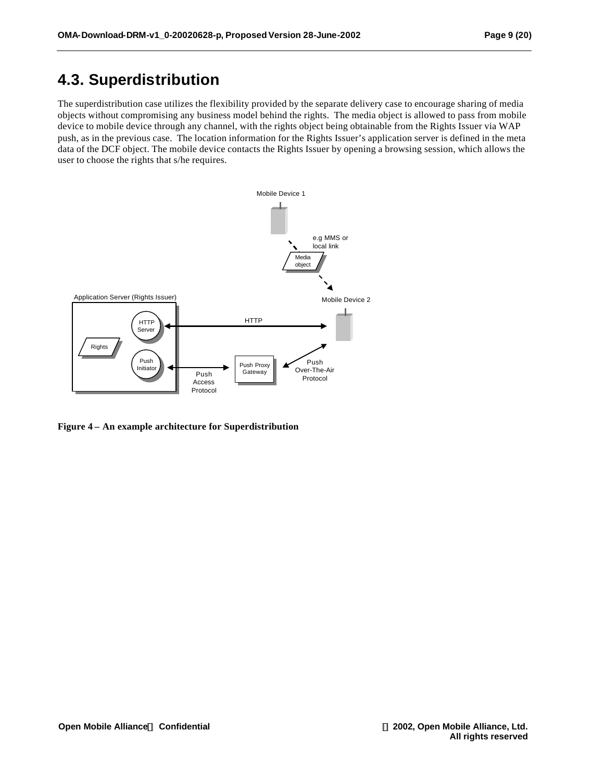## **4.3. Superdistribution**

The superdistribution case utilizes the flexibility provided by the separate delivery case to encourage sharing of media objects without compromising any business model behind the rights. The media object is allowed to pass from mobile device to mobile device through any channel, with the rights object being obtainable from the Rights Issuer via WAP push, as in the previous case. The location information for the Rights Issuer's application server is defined in the meta data of the DCF object. The mobile device contacts the Rights Issuer by opening a browsing session, which allows the user to choose the rights that s/he requires.



**Figure 4 – An example architecture for Superdistribution**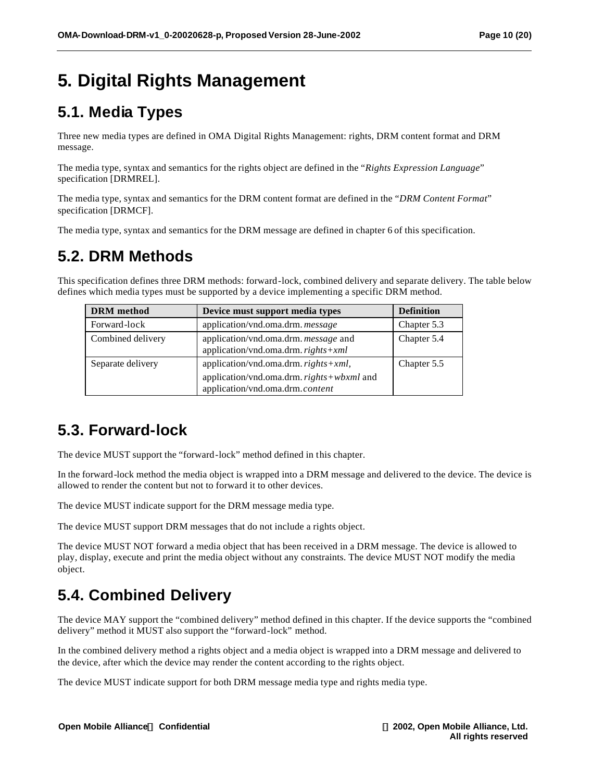# **5. Digital Rights Management**

## **5.1. Media Types**

Three new media types are defined in OMA Digital Rights Management: rights, DRM content format and DRM message.

The media type, syntax and semantics for the rights object are defined in the "*Rights Expression Language*" specification [DRMREL].

The media type, syntax and semantics for the DRM content format are defined in the "*DRM Content Format*" specification [DRMCF].

The media type, syntax and semantics for the DRM message are defined in chapter 6 of this specification.

## **5.2. DRM Methods**

This specification defines three DRM methods: forward-lock, combined delivery and separate delivery. The table below defines which media types must be supported by a device implementing a specific DRM method.

| <b>DRM</b> method | Device must support media types                                                                                           | <b>Definition</b> |
|-------------------|---------------------------------------------------------------------------------------------------------------------------|-------------------|
| Forward-lock      | application/vnd.oma.drm.message                                                                                           | Chapter 5.3       |
| Combined delivery | application/vnd.oma.drm. message and<br>application/vnd.oma.drm. $rights+xml$                                             | Chapter 5.4       |
| Separate delivery | application/vnd.oma.drm. $rights + xml$ ,<br>application/vnd.oma.drm. rights+wbxml and<br>application/vnd.oma.drm.content | Chapter 5.5       |

## **5.3. Forward-lock**

The device MUST support the "forward-lock" method defined in this chapter.

In the forward-lock method the media object is wrapped into a DRM message and delivered to the device. The device is allowed to render the content but not to forward it to other devices.

The device MUST indicate support for the DRM message media type.

The device MUST support DRM messages that do not include a rights object.

The device MUST NOT forward a media object that has been received in a DRM message. The device is allowed to play, display, execute and print the media object without any constraints. The device MUST NOT modify the media object.

## **5.4. Combined Delivery**

The device MAY support the "combined delivery" method defined in this chapter. If the device supports the "combined delivery" method it MUST also support the "forward-lock" method.

In the combined delivery method a rights object and a media object is wrapped into a DRM message and delivered to the device, after which the device may render the content according to the rights object.

The device MUST indicate support for both DRM message media type and rights media type.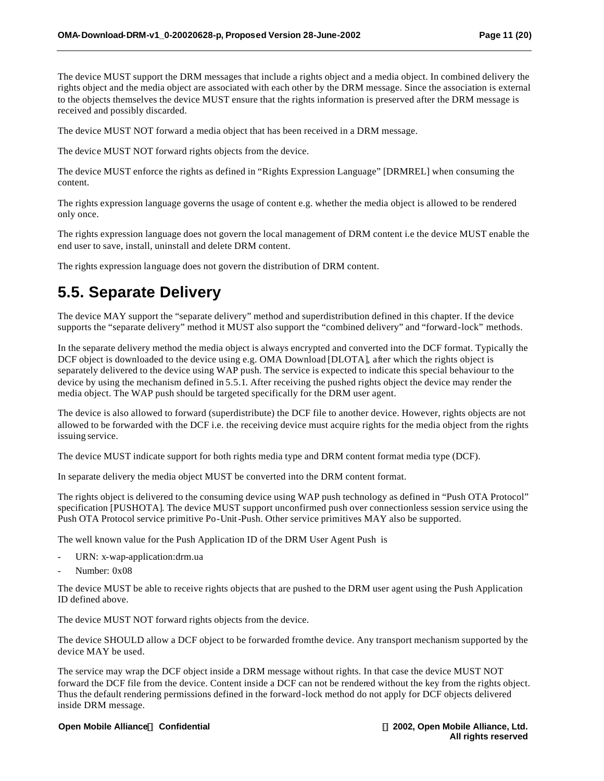The device MUST support the DRM messages that include a rights object and a media object. In combined delivery the rights object and the media object are associated with each other by the DRM message. Since the association is external to the objects themselves the device MUST ensure that the rights information is preserved after the DRM message is received and possibly discarded.

The device MUST NOT forward a media object that has been received in a DRM message.

The device MUST NOT forward rights objects from the device.

The device MUST enforce the rights as defined in "Rights Expression Language" [DRMREL] when consuming the content.

The rights expression language governs the usage of content e.g. whether the media object is allowed to be rendered only once.

The rights expression language does not govern the local management of DRM content i.e the device MUST enable the end user to save, install, uninstall and delete DRM content.

The rights expression language does not govern the distribution of DRM content.

## **5.5. Separate Delivery**

The device MAY support the "separate delivery" method and superdistribution defined in this chapter. If the device supports the "separate delivery" method it MUST also support the "combined delivery" and "forward-lock" methods.

In the separate delivery method the media object is always encrypted and converted into the DCF format. Typically the DCF object is downloaded to the device using e.g. OMA Download [DLOTA], after which the rights object is separately delivered to the device using WAP push. The service is expected to indicate this special behaviour to the device by using the mechanism defined in 5.5.1. After receiving the pushed rights object the device may render the media object. The WAP push should be targeted specifically for the DRM user agent.

The device is also allowed to forward (superdistribute) the DCF file to another device. However, rights objects are not allowed to be forwarded with the DCF i.e. the receiving device must acquire rights for the media object from the rights issuing service.

The device MUST indicate support for both rights media type and DRM content format media type (DCF).

In separate delivery the media object MUST be converted into the DRM content format.

The rights object is delivered to the consuming device using WAP push technology as defined in "Push OTA Protocol" specification [PUSHOTA]. The device MUST support unconfirmed push over connectionless session service using the Push OTA Protocol service primitive Po-Unit-Push. Other service primitives MAY also be supported.

The well known value for the Push Application ID of the DRM User Agent Push is

- URN: x-wap-application:drm.ua
- Number: 0x08

The device MUST be able to receive rights objects that are pushed to the DRM user agent using the Push Application ID defined above.

The device MUST NOT forward rights objects from the device.

The device SHOULD allow a DCF object to be forwarded from the device. Any transport mechanism supported by the device MAY be used.

The service may wrap the DCF object inside a DRM message without rights. In that case the device MUST NOT forward the DCF file from the device. Content inside a DCF can not be rendered without the key from the rights object. Thus the default rendering permissions defined in the forward-lock method do not apply for DCF objects delivered inside DRM message.

#### **Open Mobile AllianceÔ Confidential Ó 2002, Open Mobile Alliance, Ltd.**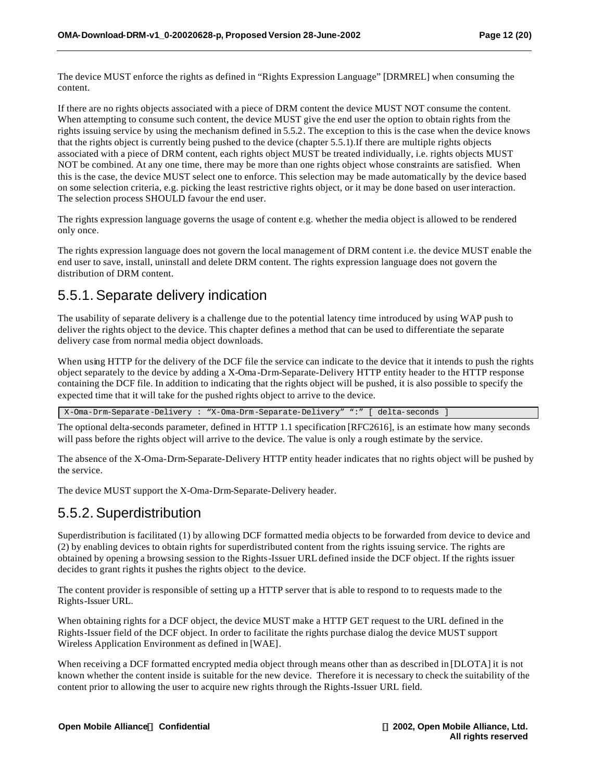The device MUST enforce the rights as defined in "Rights Expression Language" [DRMREL] when consuming the content.

If there are no rights objects associated with a piece of DRM content the device MUST NOT consume the content. When attempting to consume such content, the device MUST give the end user the option to obtain rights from the rights issuing service by using the mechanism defined in 5.5.2. The exception to this is the case when the device knows that the rights object is currently being pushed to the device (chapter 5.5.1).If there are multiple rights objects associated with a piece of DRM content, each rights object MUST be treated individually, i.e. rights objects MUST NOT be combined. At any one time, there may be more than one rights object whose constraints are satisfied. When this is the case, the device MUST select one to enforce. This selection may be made automatically by the device based on some selection criteria, e.g. picking the least restrictive rights object, or it may be done based on user interaction. The selection process SHOULD favour the end user.

The rights expression language governs the usage of content e.g. whether the media object is allowed to be rendered only once.

The rights expression language does not govern the local management of DRM content i.e. the device MUST enable the end user to save, install, uninstall and delete DRM content. The rights expression language does not govern the distribution of DRM content.

### 5.5.1. Separate delivery indication

The usability of separate delivery is a challenge due to the potential latency time introduced by using WAP push to deliver the rights object to the device. This chapter defines a method that can be used to differentiate the separate delivery case from normal media object downloads.

When using HTTP for the delivery of the DCF file the service can indicate to the device that it intends to push the rights object separately to the device by adding a X-Oma -Drm-Separate-Delivery HTTP entity header to the HTTP response containing the DCF file. In addition to indicating that the rights object will be pushed, it is also possible to specify the expected time that it will take for the pushed rights object to arrive to the device.

X-Oma-Drm-Separate-Delivery : "X-Oma-Drm-Separate-Delivery" ":" [ delta-seconds ]

The optional delta-seconds parameter, defined in HTTP 1.1 specification [RFC2616], is an estimate how many seconds will pass before the rights object will arrive to the device. The value is only a rough estimate by the service.

The absence of the X-Oma-Drm-Separate-Delivery HTTP entity header indicates that no rights object will be pushed by the service.

The device MUST support the X-Oma-Drm-Separate-Delivery header.

#### 5.5.2. Superdistribution

Superdistribution is facilitated (1) by allowing DCF formatted media objects to be forwarded from device to device and (2) by enabling devices to obtain rights for superdistributed content from the rights issuing service. The rights are obtained by opening a browsing session to the Rights-Issuer URL defined inside the DCF object. If the rights issuer decides to grant rights it pushes the rights object to the device.

The content provider is responsible of setting up a HTTP server that is able to respond to to requests made to the Rights-Issuer URL.

When obtaining rights for a DCF object, the device MUST make a HTTP GET request to the URL defined in the Rights-Issuer field of the DCF object. In order to facilitate the rights purchase dialog the device MUST support Wireless Application Environment as defined in [WAE].

When receiving a DCF formatted encrypted media object through means other than as described in [DLOTA] it is not known whether the content inside is suitable for the new device. Therefore it is necessary to check the suitability of the content prior to allowing the user to acquire new rights through the Rights-Issuer URL field.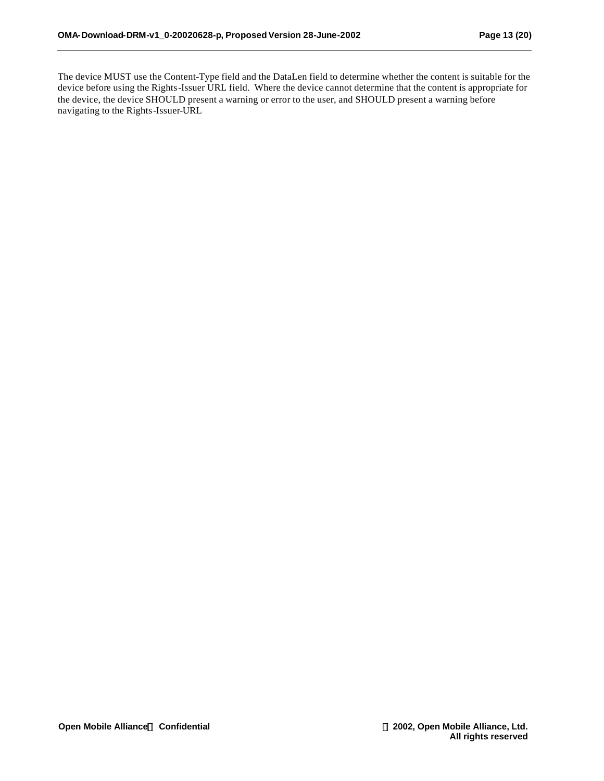The device MUST use the Content-Type field and the DataLen field to determine whether the content is suitable for the device before using the Rights-Issuer URL field. Where the device cannot determine that the content is appropriate for the device, the device SHOULD present a warning or error to the user, and SHOULD present a warning before navigating to the Rights-Issuer-URL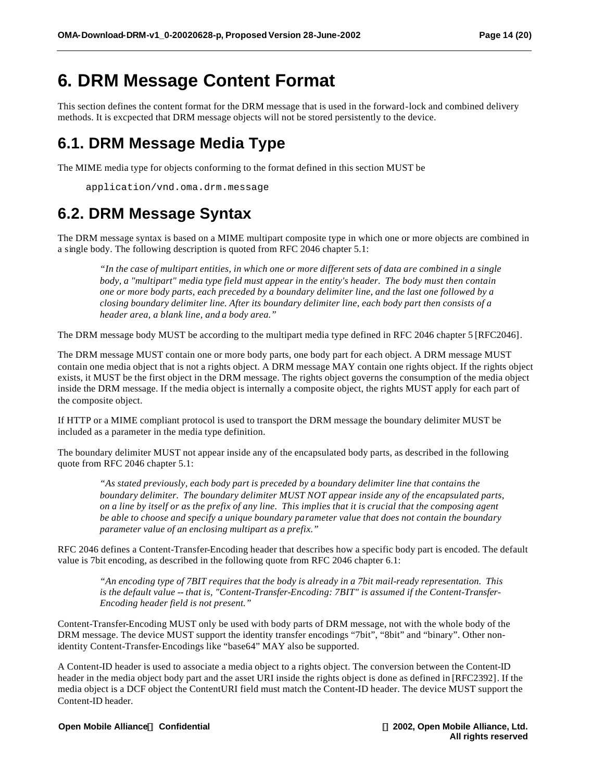## **6. DRM Message Content Format**

This section defines the content format for the DRM message that is used in the forward-lock and combined delivery methods. It is excpected that DRM message objects will not be stored persistently to the device.

## **6.1. DRM Message Media Type**

The MIME media type for objects conforming to the format defined in this section MUST be

application/vnd.oma.drm.message

## **6.2. DRM Message Syntax**

The DRM message syntax is based on a MIME multipart composite type in which one or more objects are combined in a single body. The following description is quoted from RFC 2046 chapter 5.1:

*"In the case of multipart entities, in which one or more different sets of data are combined in a single body, a "multipart" media type field must appear in the entity's header. The body must then contain one or more body parts, each preceded by a boundary delimiter line, and the last one followed by a closing boundary delimiter line. After its boundary delimiter line, each body part then consists of a header area, a blank line, and a body area."*

The DRM message body MUST be according to the multipart media type defined in RFC 2046 chapter 5 [RFC2046].

The DRM message MUST contain one or more body parts, one body part for each object. A DRM message MUST contain one media object that is not a rights object. A DRM message MAY contain one rights object. If the rights object exists, it MUST be the first object in the DRM message. The rights object governs the consumption of the media object inside the DRM message. If the media object is internally a composite object, the rights MUST apply for each part of the composite object.

If HTTP or a MIME compliant protocol is used to transport the DRM message the boundary delimiter MUST be included as a parameter in the media type definition.

The boundary delimiter MUST not appear inside any of the encapsulated body parts, as described in the following quote from RFC 2046 chapter 5.1:

*"As stated previously, each body part is preceded by a boundary delimiter line that contains the boundary delimiter. The boundary delimiter MUST NOT appear inside any of the encapsulated parts, on a line by itself or as the prefix of any line. This implies that it is crucial that the composing agent be able to choose and specify a unique boundary parameter value that does not contain the boundary parameter value of an enclosing multipart as a prefix."*

RFC 2046 defines a Content-Transfer-Encoding header that describes how a specific body part is encoded. The default value is 7bit encoding, as described in the following quote from RFC 2046 chapter 6.1:

*"An encoding type of 7BIT requires that the body is already in a 7bit mail-ready representation. This is the default value -- that is, "Content-Transfer-Encoding: 7BIT" is assumed if the Content-Transfer-Encoding header field is not present."*

Content-Transfer-Encoding MUST only be used with body parts of DRM message, not with the whole body of the DRM message. The device MUST support the identity transfer encodings "7bit", "8bit" and "binary". Other nonidentity Content-Transfer-Encodings like "base64" MAY also be supported.

A Content-ID header is used to associate a media object to a rights object. The conversion between the Content-ID header in the media object body part and the asset URI inside the rights object is done as defined in [RFC2392]. If the media object is a DCF object the ContentURI field must match the Content-ID header. The device MUST support the Content-ID header.

**Open Mobile AllianceÔ Confidential Ó 2002, Open Mobile Alliance, Ltd.**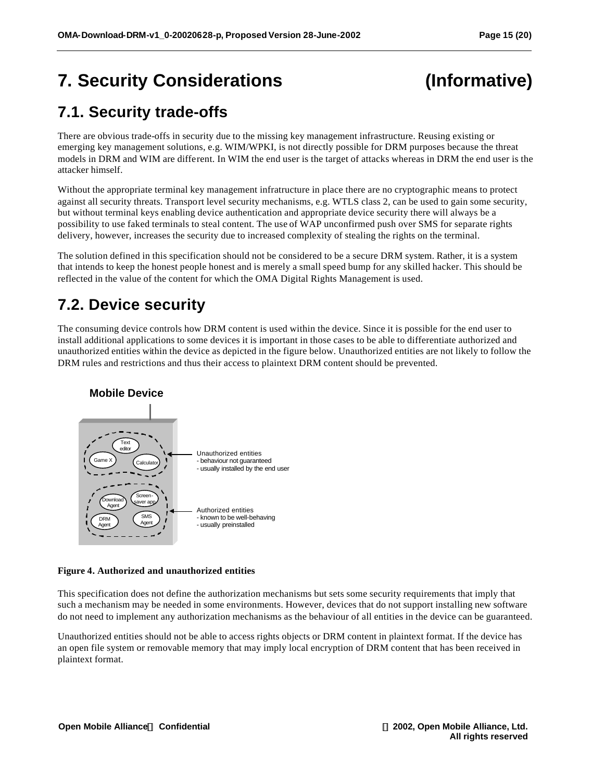# **7. Security Considerations (Informative)**

## **7.1. Security trade-offs**

There are obvious trade-offs in security due to the missing key management infrastructure. Reusing existing or emerging key management solutions, e.g. WIM/WPKI, is not directly possible for DRM purposes because the threat models in DRM and WIM are different. In WIM the end user is the target of attacks whereas in DRM the end user is the attacker himself.

Without the appropriate terminal key management infratructure in place there are no cryptographic means to protect against all security threats. Transport level security mechanisms, e.g. WTLS class 2, can be used to gain some security, but without terminal keys enabling device authentication and appropriate device security there will always be a possibility to use faked terminals to steal content. The use of WAP unconfirmed push over SMS for separate rights delivery, however, increases the security due to increased complexity of stealing the rights on the terminal.

The solution defined in this specification should not be considered to be a secure DRM system. Rather, it is a system that intends to keep the honest people honest and is merely a small speed bump for any skilled hacker. This should be reflected in the value of the content for which the OMA Digital Rights Management is used.

## **7.2. Device security**

The consuming device controls how DRM content is used within the device. Since it is possible for the end user to install additional applications to some devices it is important in those cases to be able to differentiate authorized and unauthorized entities within the device as depicted in the figure below. Unauthorized entities are not likely to follow the DRM rules and restrictions and thus their access to plaintext DRM content should be prevented.



#### **Figure 4. Authorized and unauthorized entities**

This specification does not define the authorization mechanisms but sets some security requirements that imply that such a mechanism may be needed in some environments. However, devices that do not support installing new software do not need to implement any authorization mechanisms as the behaviour of all entities in the device can be guaranteed.

Unauthorized entities should not be able to access rights objects or DRM content in plaintext format. If the device has an open file system or removable memory that may imply local encryption of DRM content that has been received in plaintext format.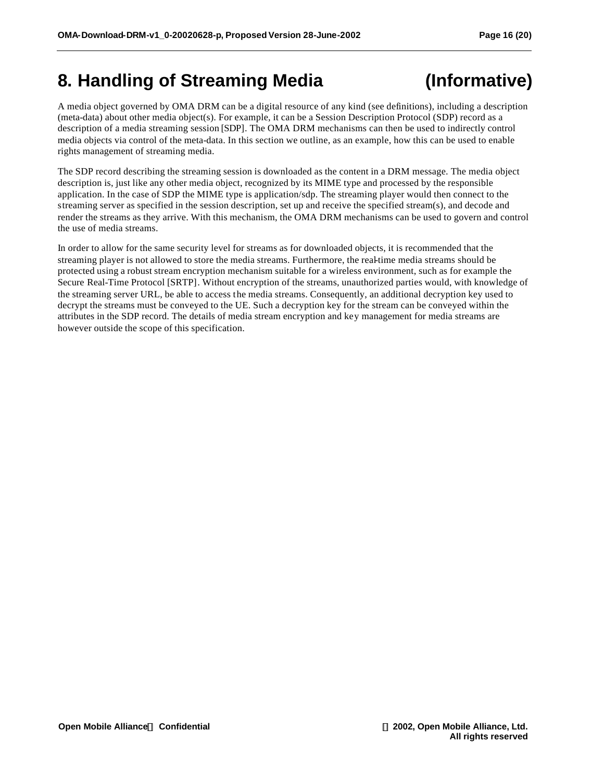## **8. Handling of Streaming Media (Informative)**

A media object governed by OMA DRM can be a digital resource of any kind (see definitions), including a description (meta-data) about other media object(s). For example, it can be a Session Description Protocol (SDP) record as a description of a media streaming session [SDP]. The OMA DRM mechanisms can then be used to indirectly control media objects via control of the meta-data. In this section we outline, as an example, how this can be used to enable rights management of streaming media.

The SDP record describing the streaming session is downloaded as the content in a DRM message. The media object description is, just like any other media object, recognized by its MIME type and processed by the responsible application. In the case of SDP the MIME type is application/sdp. The streaming player would then connect to the streaming server as specified in the session description, set up and receive the specified stream(s), and decode and render the streams as they arrive. With this mechanism, the OMA DRM mechanisms can be used to govern and control the use of media streams.

In order to allow for the same security level for streams as for downloaded objects, it is recommended that the streaming player is not allowed to store the media streams. Furthermore, the real-time media streams should be protected using a robust stream encryption mechanism suitable for a wireless environment, such as for example the Secure Real-Time Protocol [SRTP]. Without encryption of the streams, unauthorized parties would, with knowledge of the streaming server URL, be able to access the media streams. Consequently, an additional decryption key used to decrypt the streams must be conveyed to the UE. Such a decryption key for the stream can be conveyed within the attributes in the SDP record. The details of media stream encryption and key management for media streams are however outside the scope of this specification.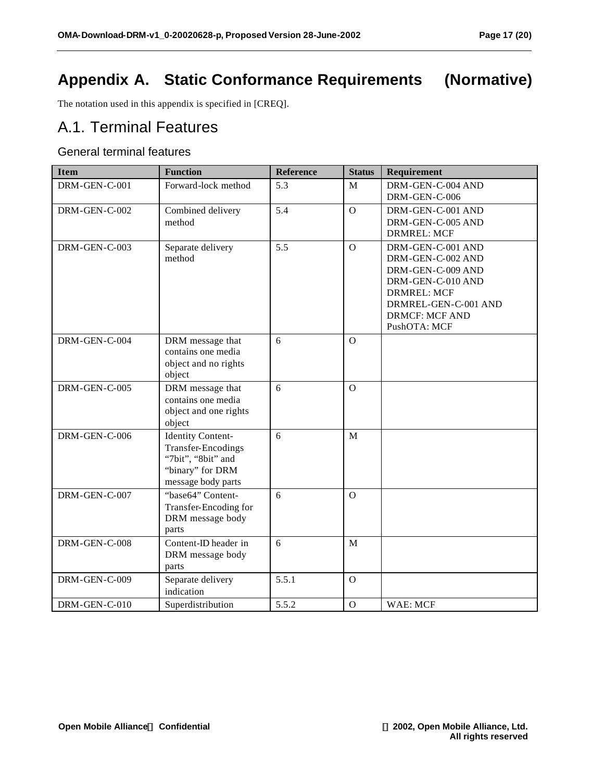## **Appendix A. Static Conformance Requirements (Normative)**

The notation used in this appendix is specified in [CREQ].

## A.1. Terminal Features

#### General terminal features

| <b>Item</b>   | <b>Function</b>                                                                                                       | <b>Reference</b> | <b>Status</b>  | Requirement                                                                                                                                                             |
|---------------|-----------------------------------------------------------------------------------------------------------------------|------------------|----------------|-------------------------------------------------------------------------------------------------------------------------------------------------------------------------|
| DRM-GEN-C-001 | Forward-lock method                                                                                                   | 5.3              | M              | DRM-GEN-C-004 AND<br>DRM-GEN-C-006                                                                                                                                      |
| DRM-GEN-C-002 | Combined delivery<br>method                                                                                           | 5.4              | $\mathbf{O}$   | DRM-GEN-C-001 AND<br>DRM-GEN-C-005 AND<br><b>DRMREL: MCF</b>                                                                                                            |
| DRM-GEN-C-003 | Separate delivery<br>method                                                                                           | 5.5              | $\Omega$       | DRM-GEN-C-001 AND<br>DRM-GEN-C-002 AND<br>DRM-GEN-C-009 AND<br>DRM-GEN-C-010 AND<br><b>DRMREL: MCF</b><br>DRMREL-GEN-C-001 AND<br><b>DRMCF: MCF AND</b><br>PushOTA: MCF |
| DRM-GEN-C-004 | DRM message that<br>contains one media<br>object and no rights<br>object                                              | 6                | $\mathbf{O}$   |                                                                                                                                                                         |
| DRM-GEN-C-005 | DRM message that<br>contains one media<br>object and one rights<br>object                                             | 6                | $\Omega$       |                                                                                                                                                                         |
| DRM-GEN-C-006 | <b>Identity Content-</b><br><b>Transfer-Encodings</b><br>"7bit", "8bit" and<br>"binary" for DRM<br>message body parts | 6                | M              |                                                                                                                                                                         |
| DRM-GEN-C-007 | "base64" Content-<br>Transfer-Encoding for<br>DRM message body<br>parts                                               | 6                | $\overline{O}$ |                                                                                                                                                                         |
| DRM-GEN-C-008 | Content-ID header in<br>DRM message body<br>parts                                                                     | 6                | M              |                                                                                                                                                                         |
| DRM-GEN-C-009 | Separate delivery<br>indication                                                                                       | 5.5.1            | $\mathbf O$    |                                                                                                                                                                         |
| DRM-GEN-C-010 | Superdistribution                                                                                                     | 5.5.2            | $\mathbf O$    | WAE: MCF                                                                                                                                                                |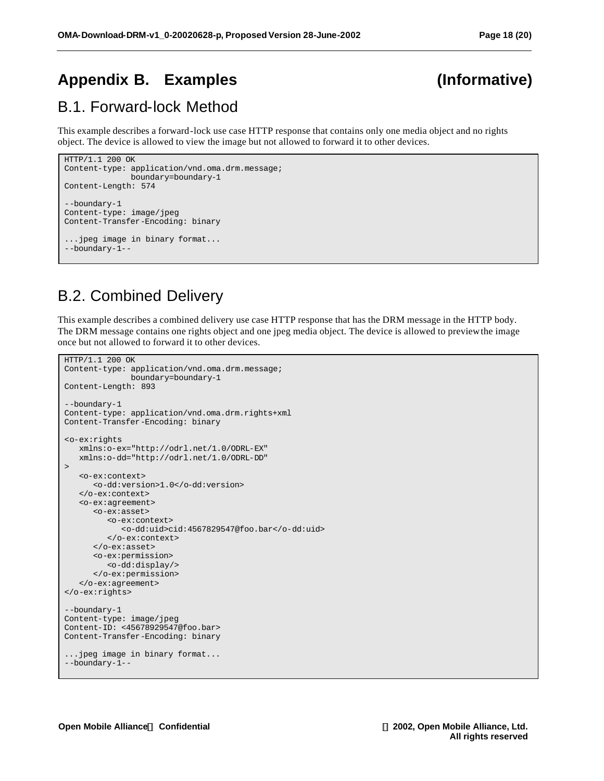## **Appendix B. Examples (Informative)**

## B.1. Forward-lock Method

This example describes a forward-lock use case HTTP response that contains only one media object and no rights object. The device is allowed to view the image but not allowed to forward it to other devices.

```
HTTP/1.1 200 OK 
Content-type: application/vnd.oma.drm.message; 
               boundary=boundary-1
Content-Length: 574
--boundary-1
Content-type: image/jpeg
Content-Transfer-Encoding: binary
...jpeg image in binary format...
--boundary-1--
```
## B.2. Combined Delivery

This example describes a combined delivery use case HTTP response that has the DRM message in the HTTP body. The DRM message contains one rights object and one jpeg media object. The device is allowed to preview the image once but not allowed to forward it to other devices.

```
HTTP/1.1 200 OK 
Content-type: application/vnd.oma.drm.message; 
               boundary=boundary-1
Content-Length: 893
--boundary-1
Content-type: application/vnd.oma.drm.rights+xml
Content-Transfer-Encoding: binary
<o-ex:rights
    xmlns:o-ex="http://odrl.net/1.0/ODRL-EX"
    xmlns:o-dd="http://odrl.net/1.0/ODRL-DD"
>
    <o-ex:context>
       <o-dd:version>1.0</o-dd:version>
    </o-ex:context>
    <o-ex:agreement>
       <o-ex:asset>
          <o-ex:context>
             <o-dd:uid>cid:4567829547@foo.bar</o-dd:uid>
          </o-ex:context>
       </o-ex:asset>
       <o-ex:permission>
         <o-dd:display/>
       </o-ex:permission>
    </o-ex:agreement>
</o-ex:rights>
--boundary-1
Content-type: image/jpeg
Content-ID: <45678929547@foo.bar>
Content-Transfer-Encoding: binary
...jpeg image in binary format...
--boundary-1--
```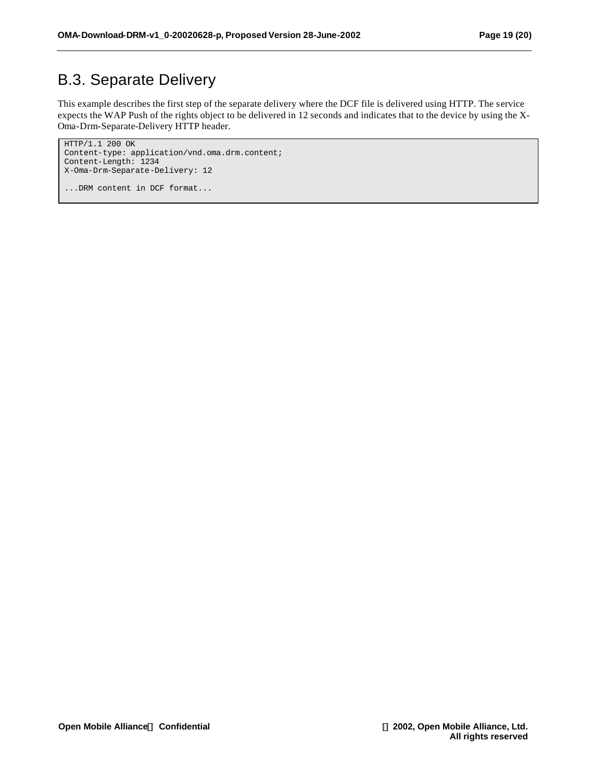## B.3. Separate Delivery

This example describes the first step of the separate delivery where the DCF file is delivered using HTTP. The service expects the WAP Push of the rights object to be delivered in 12 seconds and indicates that to the device by using the X-Oma-Drm-Separate-Delivery HTTP header.

```
HTTP/1.1 200 OK 
Content-type: application/vnd.oma.drm.content; 
Content-Length: 1234
X-Oma-Drm-Separate-Delivery: 12
...DRM content in DCF format...
```